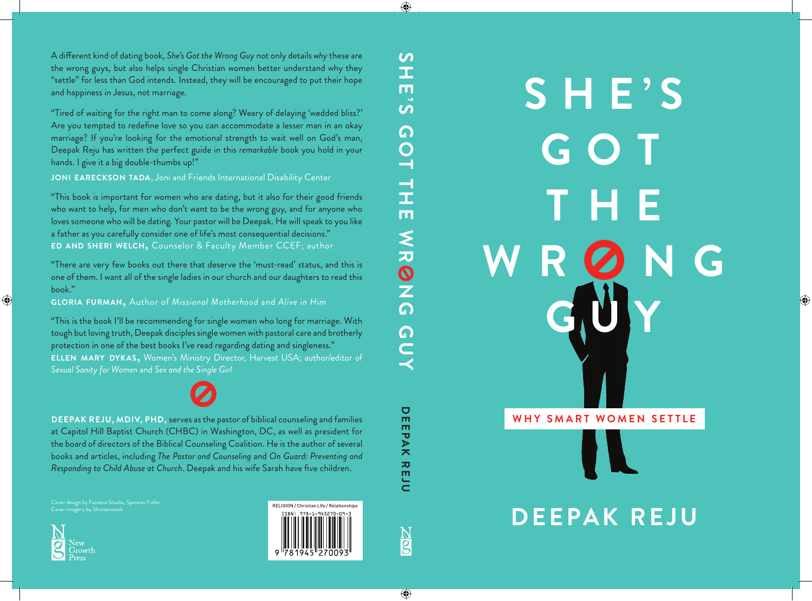# **S HE'S G O T THE** WR Q N G **GUY WHY SMART WOMEN SETTLE IX DEEPAK REJU**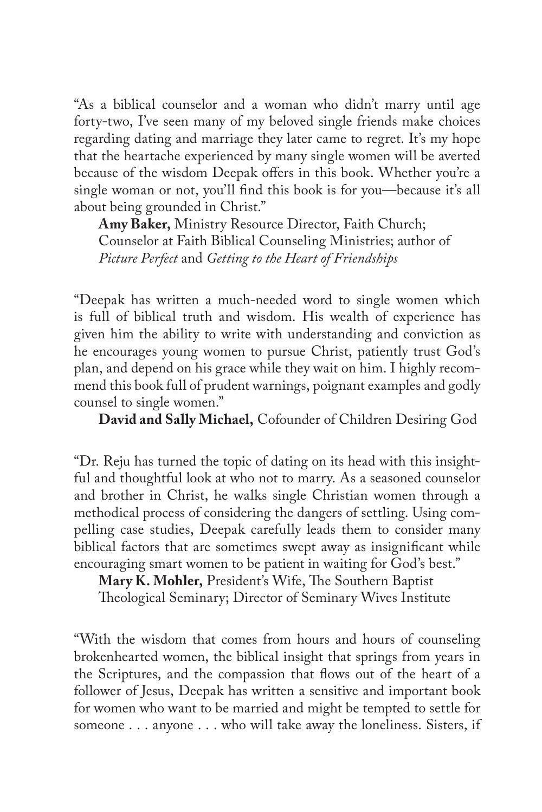"As a biblical counselor and a woman who didn't marry until age forty-two, I've seen many of my beloved single friends make choices regarding dating and marriage they later came to regret. It's my hope that the heartache experienced by many single women will be averted because of the wisdom Deepak offers in this book. Whether you're a single woman or not, you'll find this book is for you—because it's all about being grounded in Christ."

**Amy Baker,** Ministry Resource Director, Faith Church; Counselor at Faith Biblical Counseling Ministries; author of *Picture Perfect* and *Getting to the Heart of Friendships*

"Deepak has written a much-needed word to single women which is full of biblical truth and wisdom. His wealth of experience has given him the ability to write with understanding and conviction as he encourages young women to pursue Christ, patiently trust God's plan, and depend on his grace while they wait on him. I highly recommend this book full of prudent warnings, poignant examples and godly counsel to single women."

**David and Sally Michael,** Cofounder of Children Desiring God

"Dr. Reju has turned the topic of dating on its head with this insightful and thoughtful look at who not to marry. As a seasoned counselor and brother in Christ, he walks single Christian women through a methodical process of considering the dangers of settling. Using compelling case studies, Deepak carefully leads them to consider many biblical factors that are sometimes swept away as insignificant while encouraging smart women to be patient in waiting for God's best."

**Mary K. Mohler,** President's Wife, The Southern Baptist Theological Seminary; Director of Seminary Wives Institute

"With the wisdom that comes from hours and hours of counseling brokenhearted women, the biblical insight that springs from years in the Scriptures, and the compassion that flows out of the heart of a follower of Jesus, Deepak has written a sensitive and important book for women who want to be married and might be tempted to settle for someone . . . anyone . . . who will take away the loneliness. Sisters, if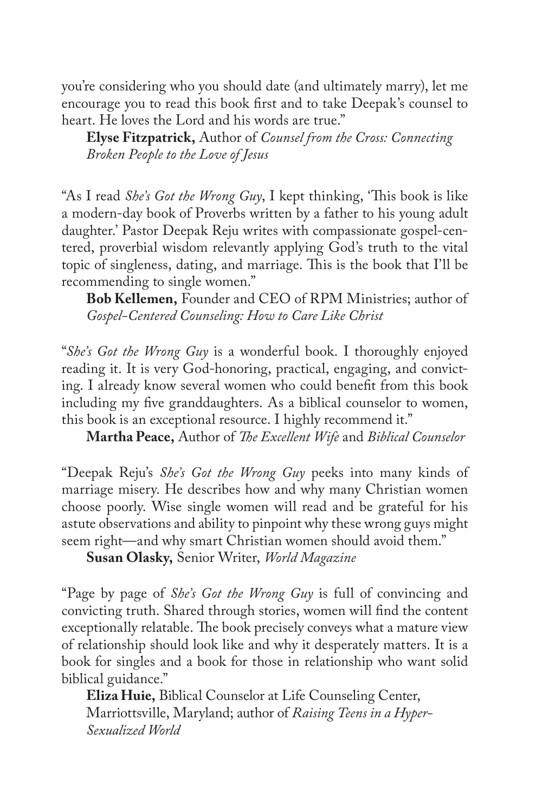you're considering who you should date (and ultimately marry), let me encourage you to read this book first and to take Deepak's counsel to heart. He loves the Lord and his words are true."

**Elyse Fitzpatrick,** Author of *Counsel from the Cross: Connecting Broken People to the Love of Jesus*

"As I read *She's Got the Wrong Guy*, I kept thinking, 'This book is like a modern-day book of Proverbs written by a father to his young adult daughter.' Pastor Deepak Reju writes with compassionate gospel-centered, proverbial wisdom relevantly applying God's truth to the vital topic of singleness, dating, and marriage. This is the book that I'll be recommending to single women."

**Bob Kellemen,** Founder and CEO of RPM Ministries; author of *Gospel-Centered Counseling: How to Care Like Christ*

"*She's Got the Wrong Guy* is a wonderful book. I thoroughly enjoyed reading it. It is very God-honoring, practical, engaging, and convicting. I already know several women who could benefit from this book including my five granddaughters. As a biblical counselor to women, this book is an exceptional resource. I highly recommend it."

**Martha Peace,** Author of *The Excellent Wife* and *Biblical Counselor*

"Deepak Reju's *She's Got the Wrong Guy* peeks into many kinds of marriage misery. He describes how and why many Christian women choose poorly. Wise single women will read and be grateful for his astute observations and ability to pinpoint why these wrong guys might seem right—and why smart Christian women should avoid them."

**Susan Olasky,** Senior Writer, *World Magazine*

"Page by page of *She's Got the Wrong Guy* is full of convincing and convicting truth. Shared through stories, women will find the content exceptionally relatable. The book precisely conveys what a mature view of relationship should look like and why it desperately matters. It is a book for singles and a book for those in relationship who want solid biblical guidance."

**Eliza Huie,** Biblical Counselor at Life Counseling Center, Marriottsville, Maryland; author of *Raising Teens in a Hyper-Sexualized World*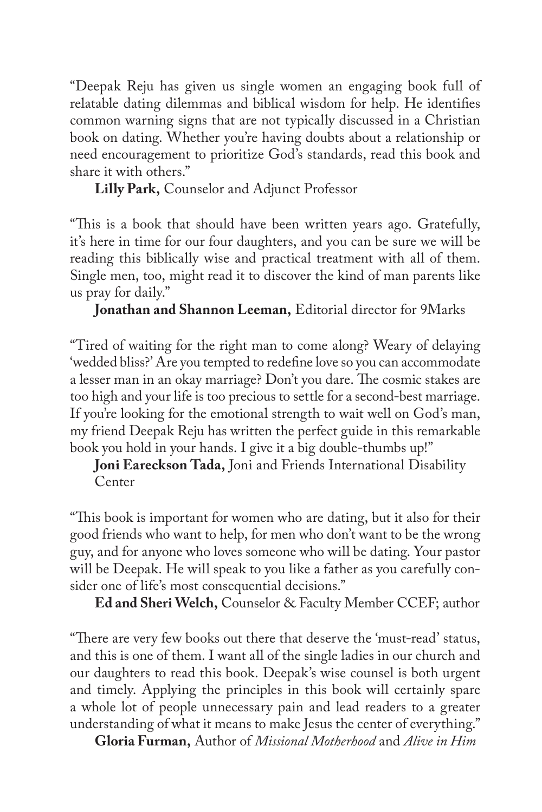"Deepak Reju has given us single women an engaging book full of relatable dating dilemmas and biblical wisdom for help. He identifies common warning signs that are not typically discussed in a Christian book on dating. Whether you're having doubts about a relationship or need encouragement to prioritize God's standards, read this book and share it with others."

**Lilly Park,** Counselor and Adjunct Professor

"This is a book that should have been written years ago. Gratefully, it's here in time for our four daughters, and you can be sure we will be reading this biblically wise and practical treatment with all of them. Single men, too, might read it to discover the kind of man parents like us pray for daily."

**Jonathan and Shannon Leeman,** Editorial director for 9Marks

"Tired of waiting for the right man to come along? Weary of delaying 'wedded bliss?' Are you tempted to redefine love so you can accommodate a lesser man in an okay marriage? Don't you dare. The cosmic stakes are too high and your life is too precious to settle for a second-best marriage. If you're looking for the emotional strength to wait well on God's man, my friend Deepak Reju has written the perfect guide in this remarkable book you hold in your hands. I give it a big double-thumbs up!"

**Joni Eareckson Tada,** Joni and Friends International Disability Center

"This book is important for women who are dating, but it also for their good friends who want to help, for men who don't want to be the wrong guy, and for anyone who loves someone who will be dating. Your pastor will be Deepak. He will speak to you like a father as you carefully consider one of life's most consequential decisions."

**Ed and Sheri Welch,** Counselor & Faculty Member CCEF; author

"There are very few books out there that deserve the 'must-read' status, and this is one of them. I want all of the single ladies in our church and our daughters to read this book. Deepak's wise counsel is both urgent and timely. Applying the principles in this book will certainly spare a whole lot of people unnecessary pain and lead readers to a greater understanding of what it means to make Jesus the center of everything."

**Gloria Furman,** Author of *Missional Motherhood* and *Alive in Him*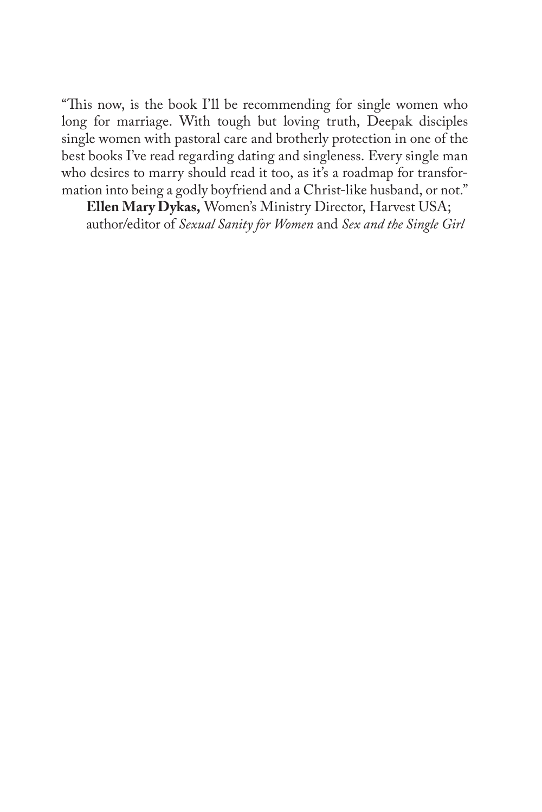"This now, is the book I'll be recommending for single women who long for marriage. With tough but loving truth, Deepak disciples single women with pastoral care and brotherly protection in one of the best books I've read regarding dating and singleness. Every single man who desires to marry should read it too, as it's a roadmap for transformation into being a godly boyfriend and a Christ-like husband, or not."

**Ellen Mary Dykas,** Women's Ministry Director, Harvest USA; author/editor of *Sexual Sanity for Women* and *Sex and the Single Girl*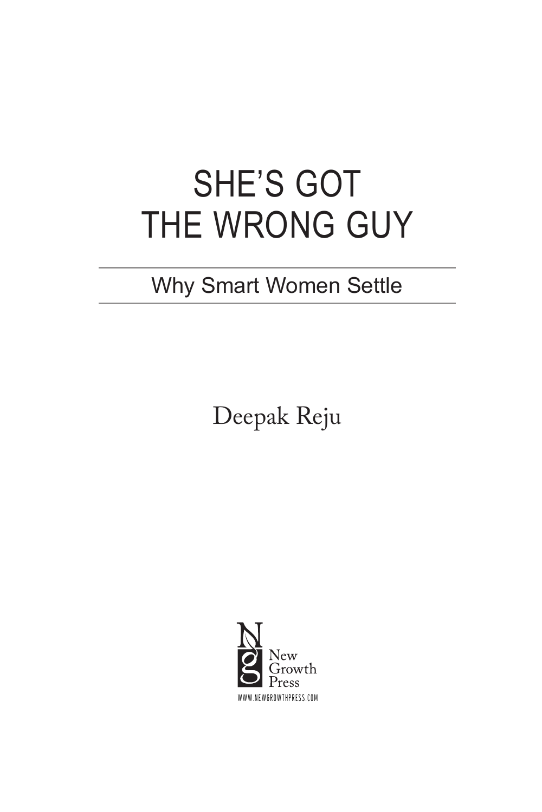# SHE'S GOT THE WRONG GUY

### Why Smart Women Settle

Deepak Reju

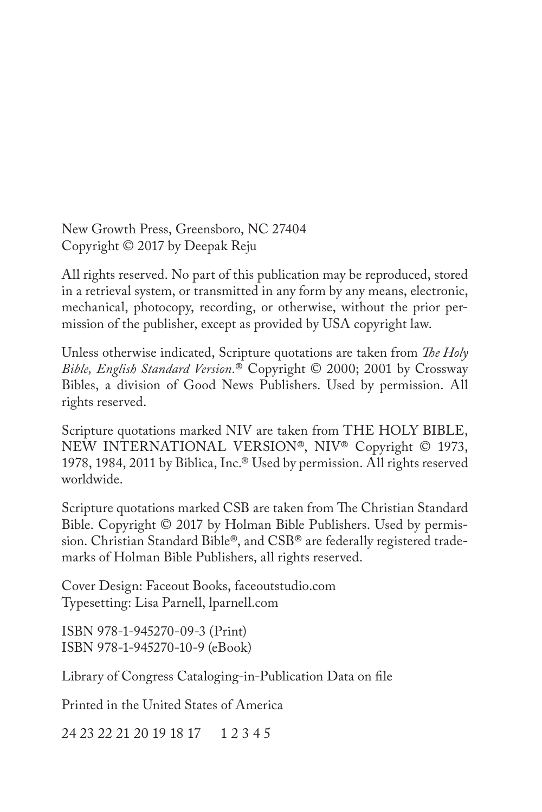New Growth Press, Greensboro, NC 27404 Copyright © 2017 by Deepak Reju

All rights reserved. No part of this publication may be reproduced, stored in a retrieval system, or transmitted in any form by any means, electronic, mechanical, photocopy, recording, or otherwise, without the prior permission of the publisher, except as provided by USA copyright law.

Unless otherwise indicated, Scripture quotations are taken from *The Holy Bible, English Standard Version.*® Copyright © 2000; 2001 by Crossway Bibles, a division of Good News Publishers. Used by permission. All rights reserved.

Scripture quotations marked NIV are taken from THE HOLY BIBLE, NEW INTERNATIONAL VERSION®, NIV® Copyright © 1973, 1978, 1984, 2011 by Biblica, Inc.® Used by permission. All rights reserved worldwide.

Scripture quotations marked CSB are taken from The Christian Standard Bible. Copyright © 2017 by Holman Bible Publishers. Used by permission. Christian Standard Bible®, and CSB® are federally registered trademarks of Holman Bible Publishers, all rights reserved.

Cover Design: Faceout Books, faceoutstudio.com Typesetting: Lisa Parnell, lparnell.com

ISBN 978-1-945270-09-3 (Print) ISBN 978-1-945270-10-9 (eBook)

Library of Congress Cataloging-in-Publication Data on file

Printed in the United States of America

24 23 22 21 20 19 18 17 1 2 3 4 5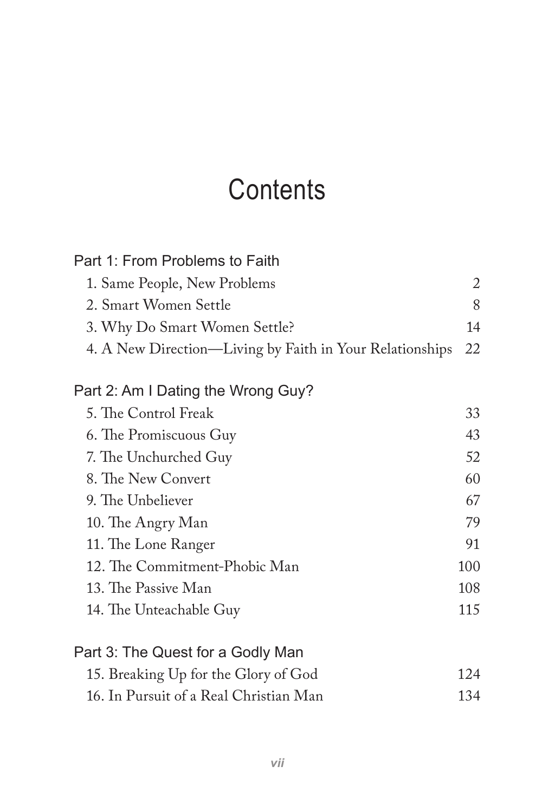## **Contents**

| Part 1: From Problems to Faith                           |     |
|----------------------------------------------------------|-----|
| 1. Same People, New Problems                             | 2   |
| 2. Smart Women Settle                                    | 8   |
| 3. Why Do Smart Women Settle?                            | 14  |
| 4. A New Direction—Living by Faith in Your Relationships | 22  |
| Part 2: Am I Dating the Wrong Guy?                       |     |
| 5. The Control Freak                                     | 33  |
| 6. The Promiscuous Guy                                   | 43  |
| 7. The Unchurched Guy                                    | 52  |
| 8. The New Convert                                       | 60  |
| 9. The Unbeliever                                        | 67  |
| 10. The Angry Man                                        | 79  |
| 11. The Lone Ranger                                      | 91  |
| 12. The Commitment-Phobic Man                            | 100 |
| 13. The Passive Man                                      | 108 |
| 14. The Unteachable Guy                                  | 115 |
| Part 3: The Quest for a Godly Man                        |     |
| 15. Breaking Up for the Glory of God                     | 124 |
| 16. In Pursuit of a Real Christian Man                   | 134 |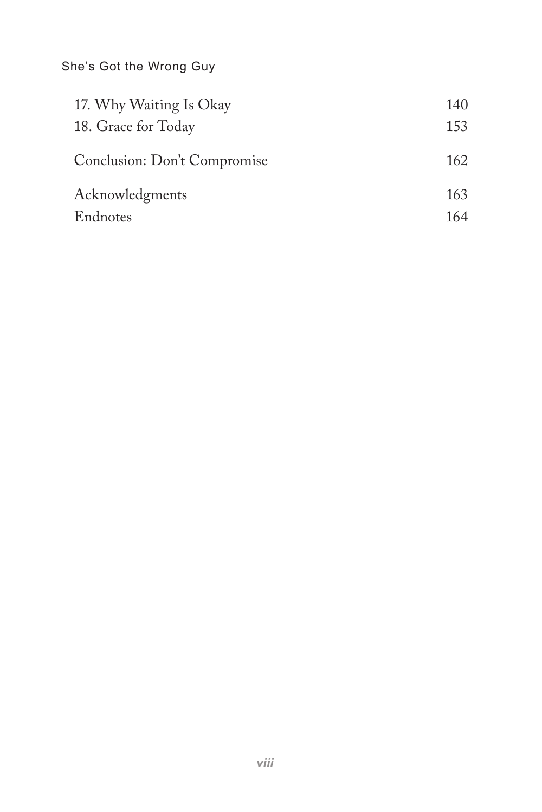She's Got the Wrong Guy

| 17. Why Waiting Is Okay      | 140 |
|------------------------------|-----|
| 18. Grace for Today          | 153 |
| Conclusion: Don't Compromise | 162 |
|                              |     |
| Acknowledgments              | 163 |
| Endnotes                     | 164 |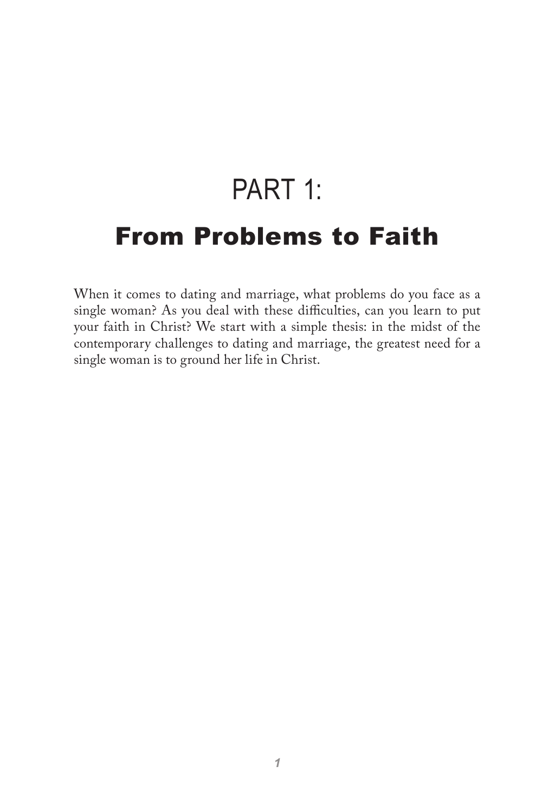## PART 1: From Problems to Faith

When it comes to dating and marriage, what problems do you face as a single woman? As you deal with these difficulties, can you learn to put your faith in Christ? We start with a simple thesis: in the midst of the contemporary challenges to dating and marriage, the greatest need for a single woman is to ground her life in Christ.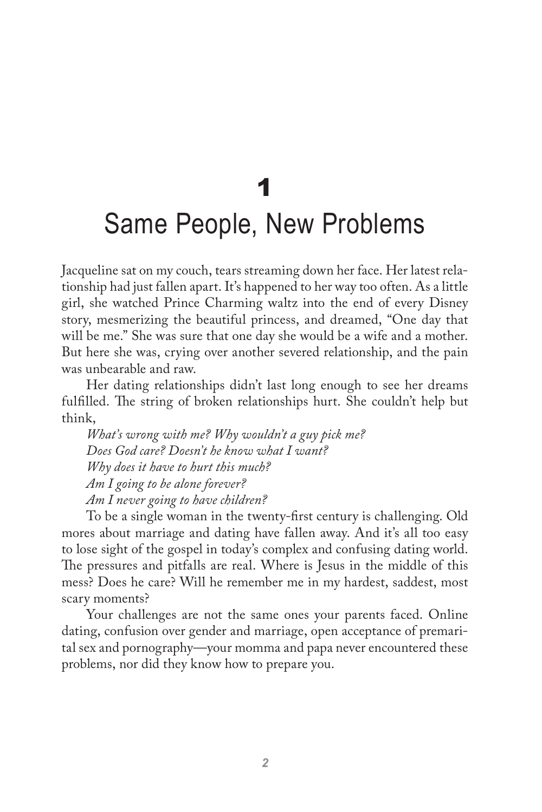## 1 Same People, New Problems

Jacqueline sat on my couch, tears streaming down her face. Her latest relationship had just fallen apart. It's happened to her way too often. As a little girl, she watched Prince Charming waltz into the end of every Disney story, mesmerizing the beautiful princess, and dreamed, "One day that will be me." She was sure that one day she would be a wife and a mother. But here she was, crying over another severed relationship, and the pain was unbearable and raw.

Her dating relationships didn't last long enough to see her dreams fulfilled. The string of broken relationships hurt. She couldn't help but think,

*What's wrong with me? Why wouldn't a guy pick me? Does God care? Doesn't he know what I want? Why does it have to hurt this much? Am I going to be alone forever? Am I never going to have children?* 

To be a single woman in the twenty-first century is challenging. Old mores about marriage and dating have fallen away. And it's all too easy to lose sight of the gospel in today's complex and confusing dating world. The pressures and pitfalls are real. Where is Jesus in the middle of this mess? Does he care? Will he remember me in my hardest, saddest, most scary moments?

Your challenges are not the same ones your parents faced. Online dating, confusion over gender and marriage, open acceptance of premarital sex and pornography—your momma and papa never encountered these problems, nor did they know how to prepare you.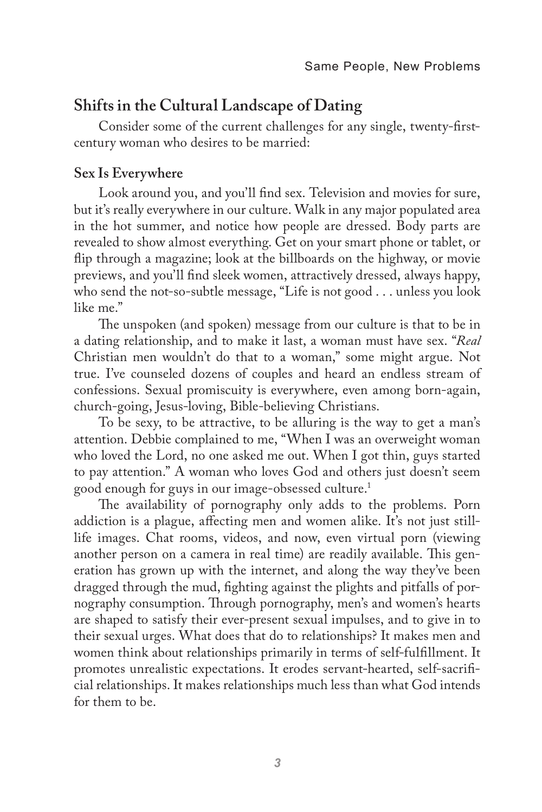#### **Shifts in the Cultural Landscape of Dating**

Consider some of the current challenges for any single, twenty-firstcentury woman who desires to be married:

#### **Sex Is Everywhere**

Look around you, and you'll find sex. Television and movies for sure, but it's really everywhere in our culture. Walk in any major populated area in the hot summer, and notice how people are dressed. Body parts are revealed to show almost everything. Get on your smart phone or tablet, or flip through a magazine; look at the billboards on the highway, or movie previews, and you'll find sleek women, attractively dressed, always happy, who send the not-so-subtle message, "Life is not good . . . unless you look like me."

The unspoken (and spoken) message from our culture is that to be in a dating relationship, and to make it last, a woman must have sex. "*Real*  Christian men wouldn't do that to a woman," some might argue. Not true. I've counseled dozens of couples and heard an endless stream of confessions. Sexual promiscuity is everywhere, even among born-again, church-going, Jesus-loving, Bible-believing Christians.

To be sexy, to be attractive, to be alluring is the way to get a man's attention. Debbie complained to me, "When I was an overweight woman who loved the Lord, no one asked me out. When I got thin, guys started to pay attention." A woman who loves God and others just doesn't seem good enough for guys in our image-obsessed culture.1

The availability of pornography only adds to the problems. Porn addiction is a plague, affecting men and women alike. It's not just stilllife images. Chat rooms, videos, and now, even virtual porn (viewing another person on a camera in real time) are readily available. This generation has grown up with the internet, and along the way they've been dragged through the mud, fighting against the plights and pitfalls of pornography consumption. Through pornography, men's and women's hearts are shaped to satisfy their ever-present sexual impulses, and to give in to their sexual urges. What does that do to relationships? It makes men and women think about relationships primarily in terms of self-fulfillment. It promotes unrealistic expectations. It erodes servant-hearted, self-sacrificial relationships. It makes relationships much less than what God intends for them to be.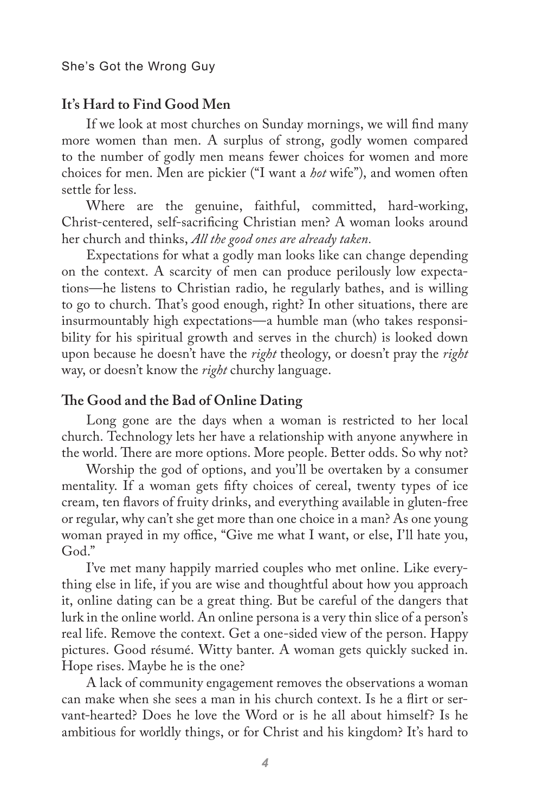#### **It's Hard to Find Good Men**

If we look at most churches on Sunday mornings, we will find many more women than men. A surplus of strong, godly women compared to the number of godly men means fewer choices for women and more choices for men. Men are pickier ("I want a *hot* wife"), and women often settle for less.

Where are the genuine, faithful, committed, hard-working, Christ-centered, self-sacrificing Christian men? A woman looks around her church and thinks, *All the good ones are already taken.*

Expectations for what a godly man looks like can change depending on the context. A scarcity of men can produce perilously low expectations—he listens to Christian radio, he regularly bathes, and is willing to go to church. That's good enough, right? In other situations, there are insurmountably high expectations—a humble man (who takes responsibility for his spiritual growth and serves in the church) is looked down upon because he doesn't have the *right* theology, or doesn't pray the *right*  way, or doesn't know the *right* churchy language.

#### **The Good and the Bad of Online Dating**

Long gone are the days when a woman is restricted to her local church. Technology lets her have a relationship with anyone anywhere in the world. There are more options. More people. Better odds. So why not?

Worship the god of options, and you'll be overtaken by a consumer mentality. If a woman gets fifty choices of cereal, twenty types of ice cream, ten flavors of fruity drinks, and everything available in gluten-free or regular, why can't she get more than one choice in a man? As one young woman prayed in my office, "Give me what I want, or else, I'll hate you, God."

I've met many happily married couples who met online. Like everything else in life, if you are wise and thoughtful about how you approach it, online dating can be a great thing. But be careful of the dangers that lurk in the online world. An online persona is a very thin slice of a person's real life. Remove the context. Get a one-sided view of the person. Happy pictures. Good résumé. Witty banter. A woman gets quickly sucked in. Hope rises. Maybe he is the one?

A lack of community engagement removes the observations a woman can make when she sees a man in his church context. Is he a flirt or servant-hearted? Does he love the Word or is he all about himself? Is he ambitious for worldly things, or for Christ and his kingdom? It's hard to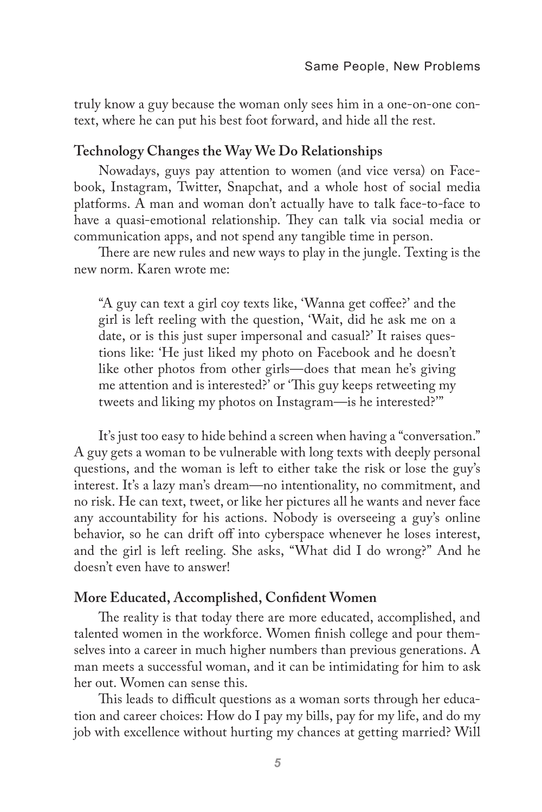truly know a guy because the woman only sees him in a one-on-one context, where he can put his best foot forward, and hide all the rest.

#### **Technology Changes the Way We Do Relationships**

Nowadays, guys pay attention to women (and vice versa) on Facebook, Instagram, Twitter, Snapchat, and a whole host of social media platforms. A man and woman don't actually have to talk face-to-face to have a quasi-emotional relationship. They can talk via social media or communication apps, and not spend any tangible time in person.

There are new rules and new ways to play in the jungle. Texting is the new norm. Karen wrote me:

"A guy can text a girl coy texts like, 'Wanna get coffee?' and the girl is left reeling with the question, 'Wait, did he ask me on a date, or is this just super impersonal and casual?' It raises questions like: 'He just liked my photo on Facebook and he doesn't like other photos from other girls—does that mean he's giving me attention and is interested?' or 'This guy keeps retweeting my tweets and liking my photos on Instagram—is he interested?'"

It's just too easy to hide behind a screen when having a "conversation." A guy gets a woman to be vulnerable with long texts with deeply personal questions, and the woman is left to either take the risk or lose the guy's interest. It's a lazy man's dream—no intentionality, no commitment, and no risk. He can text, tweet, or like her pictures all he wants and never face any accountability for his actions. Nobody is overseeing a guy's online behavior, so he can drift off into cyberspace whenever he loses interest, and the girl is left reeling. She asks, "What did I do wrong?" And he doesn't even have to answer!

#### **More Educated, Accomplished, Confident Women**

The reality is that today there are more educated, accomplished, and talented women in the workforce. Women finish college and pour themselves into a career in much higher numbers than previous generations. A man meets a successful woman, and it can be intimidating for him to ask her out. Women can sense this.

This leads to difficult questions as a woman sorts through her education and career choices: How do I pay my bills, pay for my life, and do my job with excellence without hurting my chances at getting married? Will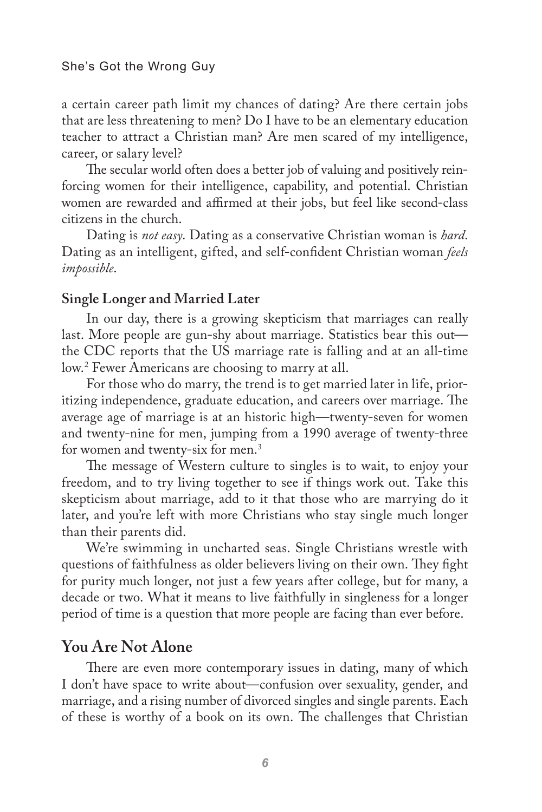a certain career path limit my chances of dating? Are there certain jobs that are less threatening to men? Do I have to be an elementary education teacher to attract a Christian man? Are men scared of my intelligence, career, or salary level?

The secular world often does a better job of valuing and positively reinforcing women for their intelligence, capability, and potential. Christian women are rewarded and affirmed at their jobs, but feel like second-class citizens in the church.

Dating is *not easy*. Dating as a conservative Christian woman is *hard*. Dating as an intelligent, gifted, and self-confident Christian woman *feels impossible*.

#### **Single Longer and Married Later**

In our day, there is a growing skepticism that marriages can really last. More people are gun-shy about marriage. Statistics bear this out the CDC reports that the US marriage rate is falling and at an all-time low.2 Fewer Americans are choosing to marry at all.

For those who do marry, the trend is to get married later in life, prioritizing independence, graduate education, and careers over marriage. The average age of marriage is at an historic high—twenty-seven for women and twenty-nine for men, jumping from a 1990 average of twenty-three for women and twenty-six for men.3

The message of Western culture to singles is to wait, to enjoy your freedom, and to try living together to see if things work out. Take this skepticism about marriage, add to it that those who are marrying do it later, and you're left with more Christians who stay single much longer than their parents did.

We're swimming in uncharted seas. Single Christians wrestle with questions of faithfulness as older believers living on their own. They fight for purity much longer, not just a few years after college, but for many, a decade or two. What it means to live faithfully in singleness for a longer period of time is a question that more people are facing than ever before.

#### **You Are Not Alone**

There are even more contemporary issues in dating, many of which I don't have space to write about—confusion over sexuality, gender, and marriage, and a rising number of divorced singles and single parents. Each of these is worthy of a book on its own. The challenges that Christian